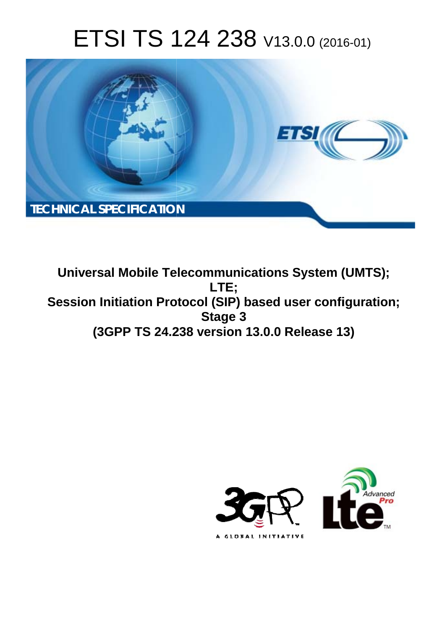# ETSI TS 124 238 V13.0.0 (2016-01)



**Universal Mobile Tel elecommunications System ( (UMTS); Session Initiation Protocol (SIP) based user configuration; (3GPP TS 24.2 .238 version 13.0.0 Release 13 13) LTE; Stage 3** 

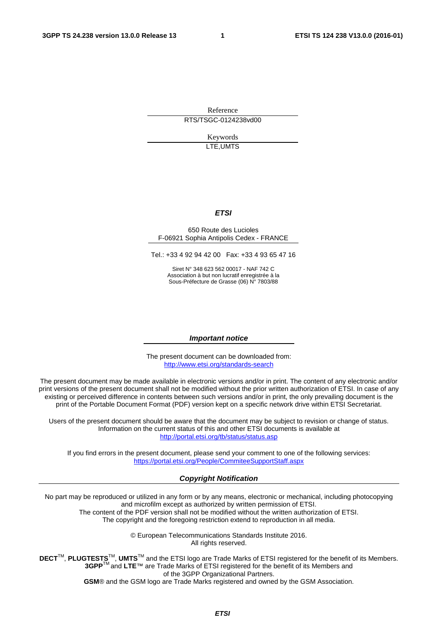Reference RTS/TSGC-0124238vd00

> Keywords LTE,UMTS

#### *ETSI*

#### 650 Route des Lucioles F-06921 Sophia Antipolis Cedex - FRANCE

Tel.: +33 4 92 94 42 00 Fax: +33 4 93 65 47 16

Siret N° 348 623 562 00017 - NAF 742 C Association à but non lucratif enregistrée à la Sous-Préfecture de Grasse (06) N° 7803/88

#### *Important notice*

The present document can be downloaded from: <http://www.etsi.org/standards-search>

The present document may be made available in electronic versions and/or in print. The content of any electronic and/or print versions of the present document shall not be modified without the prior written authorization of ETSI. In case of any existing or perceived difference in contents between such versions and/or in print, the only prevailing document is the print of the Portable Document Format (PDF) version kept on a specific network drive within ETSI Secretariat.

Users of the present document should be aware that the document may be subject to revision or change of status. Information on the current status of this and other ETSI documents is available at <http://portal.etsi.org/tb/status/status.asp>

If you find errors in the present document, please send your comment to one of the following services: <https://portal.etsi.org/People/CommiteeSupportStaff.aspx>

#### *Copyright Notification*

No part may be reproduced or utilized in any form or by any means, electronic or mechanical, including photocopying and microfilm except as authorized by written permission of ETSI.

The content of the PDF version shall not be modified without the written authorization of ETSI. The copyright and the foregoing restriction extend to reproduction in all media.

> © European Telecommunications Standards Institute 2016. All rights reserved.

**DECT**TM, **PLUGTESTS**TM, **UMTS**TM and the ETSI logo are Trade Marks of ETSI registered for the benefit of its Members. **3GPP**TM and **LTE**™ are Trade Marks of ETSI registered for the benefit of its Members and of the 3GPP Organizational Partners.

**GSM**® and the GSM logo are Trade Marks registered and owned by the GSM Association.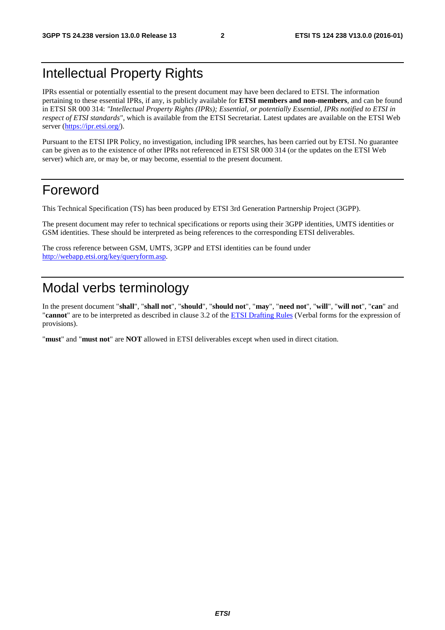# Intellectual Property Rights

IPRs essential or potentially essential to the present document may have been declared to ETSI. The information pertaining to these essential IPRs, if any, is publicly available for **ETSI members and non-members**, and can be found in ETSI SR 000 314: *"Intellectual Property Rights (IPRs); Essential, or potentially Essential, IPRs notified to ETSI in respect of ETSI standards"*, which is available from the ETSI Secretariat. Latest updates are available on the ETSI Web server [\(https://ipr.etsi.org/](https://ipr.etsi.org/)).

Pursuant to the ETSI IPR Policy, no investigation, including IPR searches, has been carried out by ETSI. No guarantee can be given as to the existence of other IPRs not referenced in ETSI SR 000 314 (or the updates on the ETSI Web server) which are, or may be, or may become, essential to the present document.

### Foreword

This Technical Specification (TS) has been produced by ETSI 3rd Generation Partnership Project (3GPP).

The present document may refer to technical specifications or reports using their 3GPP identities, UMTS identities or GSM identities. These should be interpreted as being references to the corresponding ETSI deliverables.

The cross reference between GSM, UMTS, 3GPP and ETSI identities can be found under [http://webapp.etsi.org/key/queryform.asp.](http://webapp.etsi.org/key/queryform.asp)

# Modal verbs terminology

In the present document "**shall**", "**shall not**", "**should**", "**should not**", "**may**", "**need not**", "**will**", "**will not**", "**can**" and "**cannot**" are to be interpreted as described in clause 3.2 of the [ETSI Drafting Rules](http://portal.etsi.org/Help/editHelp!/Howtostart/ETSIDraftingRules.aspx) (Verbal forms for the expression of provisions).

"**must**" and "**must not**" are **NOT** allowed in ETSI deliverables except when used in direct citation.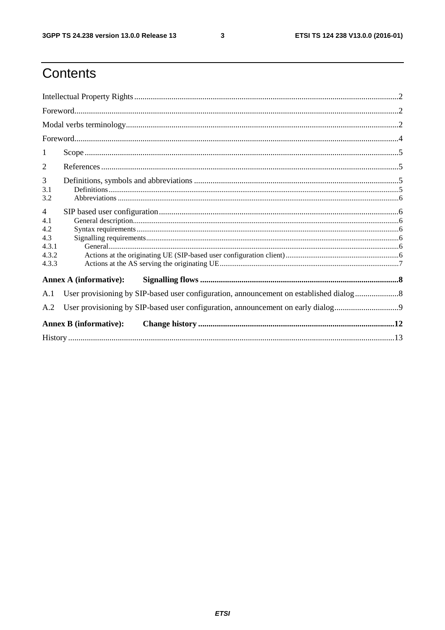$\mathbf{3}$ 

# Contents

| 1                                                              |                                                                                        |  |  |  |  |  |  |
|----------------------------------------------------------------|----------------------------------------------------------------------------------------|--|--|--|--|--|--|
| 2                                                              |                                                                                        |  |  |  |  |  |  |
| 3<br>3.1<br>3.2                                                |                                                                                        |  |  |  |  |  |  |
| $\overline{4}$<br>4.1<br>4.2<br>4.3<br>4.3.1<br>4.3.2<br>4.3.3 |                                                                                        |  |  |  |  |  |  |
|                                                                | <b>Annex A (informative):</b>                                                          |  |  |  |  |  |  |
| A.1                                                            | User provisioning by SIP-based user configuration, announcement on established dialog8 |  |  |  |  |  |  |
| A.2                                                            |                                                                                        |  |  |  |  |  |  |
|                                                                | <b>Annex B</b> (informative):                                                          |  |  |  |  |  |  |
|                                                                |                                                                                        |  |  |  |  |  |  |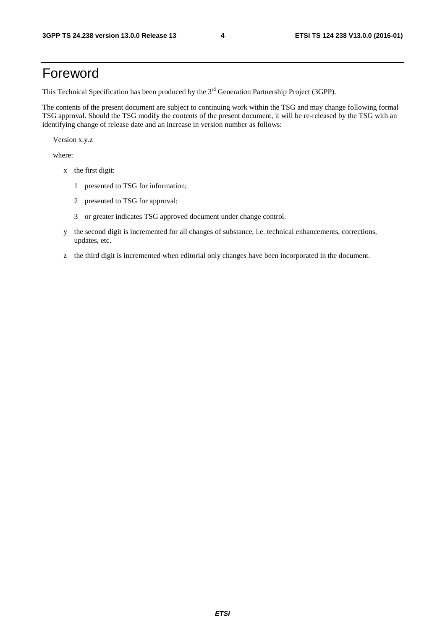### Foreword

This Technical Specification has been produced by the 3<sup>rd</sup> Generation Partnership Project (3GPP).

The contents of the present document are subject to continuing work within the TSG and may change following formal TSG approval. Should the TSG modify the contents of the present document, it will be re-released by the TSG with an identifying change of release date and an increase in version number as follows:

Version x.y.z

where:

- x the first digit:
	- 1 presented to TSG for information;
	- 2 presented to TSG for approval;
	- 3 or greater indicates TSG approved document under change control.
- y the second digit is incremented for all changes of substance, i.e. technical enhancements, corrections, updates, etc.
- z the third digit is incremented when editorial only changes have been incorporated in the document.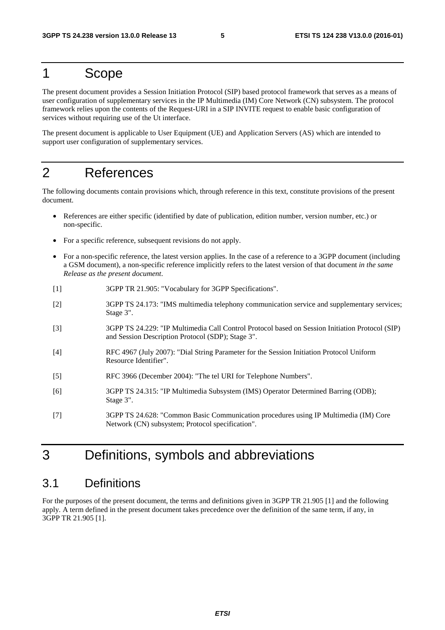### 1 Scope

The present document provides a Session Initiation Protocol (SIP) based protocol framework that serves as a means of user configuration of supplementary services in the IP Multimedia (IM) Core Network (CN) subsystem. The protocol framework relies upon the contents of the Request-URI in a SIP INVITE request to enable basic configuration of services without requiring use of the Ut interface.

The present document is applicable to User Equipment (UE) and Application Servers (AS) which are intended to support user configuration of supplementary services.

# 2 References

The following documents contain provisions which, through reference in this text, constitute provisions of the present document.

- References are either specific (identified by date of publication, edition number, version number, etc.) or non-specific.
- For a specific reference, subsequent revisions do not apply.
- For a non-specific reference, the latest version applies. In the case of a reference to a 3GPP document (including a GSM document), a non-specific reference implicitly refers to the latest version of that document *in the same Release as the present document*.
- [1] 3GPP TR 21.905: "Vocabulary for 3GPP Specifications".
- [2] 3GPP TS 24.173: "IMS multimedia telephony communication service and supplementary services; Stage 3".
- [3] 3GPP TS 24.229: "IP Multimedia Call Control Protocol based on Session Initiation Protocol (SIP) and Session Description Protocol (SDP); Stage 3".
- [4] RFC 4967 (July 2007): "Dial String Parameter for the Session Initiation Protocol Uniform Resource Identifier".
- [5] RFC 3966 (December 2004): "The tel URI for Telephone Numbers".
- [6] 3GPP TS 24.315: "IP Multimedia Subsystem (IMS) Operator Determined Barring (ODB); Stage 3".
- [7] 3GPP TS 24.628: "Common Basic Communication procedures using IP Multimedia (IM) Core Network (CN) subsystem; Protocol specification".

# 3 Definitions, symbols and abbreviations

#### 3.1 Definitions

For the purposes of the present document, the terms and definitions given in 3GPP TR 21.905 [1] and the following apply. A term defined in the present document takes precedence over the definition of the same term, if any, in 3GPP TR 21.905 [1].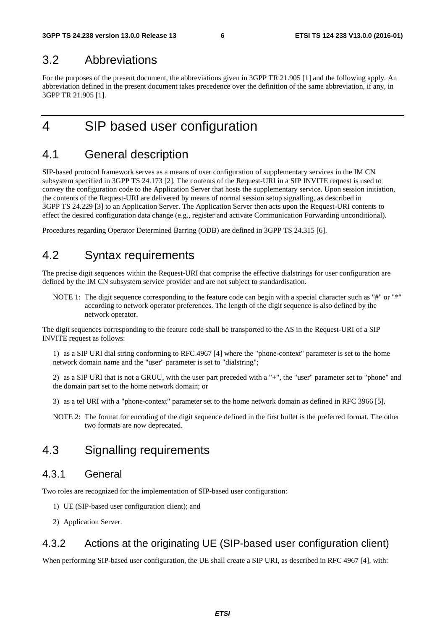#### 3.2 Abbreviations

For the purposes of the present document, the abbreviations given in 3GPP TR 21.905 [1] and the following apply. An abbreviation defined in the present document takes precedence over the definition of the same abbreviation, if any, in 3GPP TR 21.905 [1].

### 4 SIP based user configuration

### 4.1 General description

SIP-based protocol framework serves as a means of user configuration of supplementary services in the IM CN subsystem specified in 3GPP TS 24.173 [2]. The contents of the Request-URI in a SIP INVITE request is used to convey the configuration code to the Application Server that hosts the supplementary service. Upon session initiation, the contents of the Request-URI are delivered by means of normal session setup signalling, as described in 3GPP TS 24.229 [3] to an Application Server. The Application Server then acts upon the Request-URI contents to effect the desired configuration data change (e.g., register and activate Communication Forwarding unconditional).

Procedures regarding Operator Determined Barring (ODB) are defined in 3GPP TS 24.315 [6].

#### 4.2 Syntax requirements

The precise digit sequences within the Request-URI that comprise the effective dialstrings for user configuration are defined by the IM CN subsystem service provider and are not subject to standardisation.

NOTE 1: The digit sequence corresponding to the feature code can begin with a special character such as "#" or "\*" according to network operator preferences. The length of the digit sequence is also defined by the network operator.

The digit sequences corresponding to the feature code shall be transported to the AS in the Request-URI of a SIP INVITE request as follows:

1) as a SIP URI dial string conforming to RFC 4967 [4] where the "phone-context" parameter is set to the home network domain name and the "user" parameter is set to "dialstring";

2) as a SIP URI that is not a GRUU, with the user part preceded with a "+", the "user" parameter set to "phone" and the domain part set to the home network domain; or

3) as a tel URI with a "phone-context" parameter set to the home network domain as defined in RFC 3966 [5].

NOTE 2: The format for encoding of the digit sequence defined in the first bullet is the preferred format. The other two formats are now deprecated.

#### 4.3 Signalling requirements

#### 4.3.1 General

Two roles are recognized for the implementation of SIP-based user configuration:

- 1) UE (SIP-based user configuration client); and
- 2) Application Server.

#### 4.3.2 Actions at the originating UE (SIP-based user configuration client)

When performing SIP-based user configuration, the UE shall create a SIP URI, as described in RFC 4967 [4], with: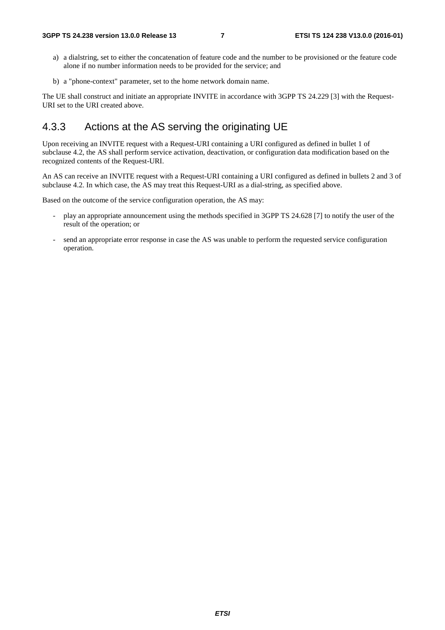- a) a dialstring, set to either the concatenation of feature code and the number to be provisioned or the feature code alone if no number information needs to be provided for the service; and
- b) a "phone-context" parameter, set to the home network domain name.

The UE shall construct and initiate an appropriate INVITE in accordance with 3GPP TS 24.229 [3] with the Request-URI set to the URI created above.

#### 4.3.3 Actions at the AS serving the originating UE

Upon receiving an INVITE request with a Request-URI containing a URI configured as defined in bullet 1 of subclause 4.2, the AS shall perform service activation, deactivation, or configuration data modification based on the recognized contents of the Request-URI.

An AS can receive an INVITE request with a Request-URI containing a URI configured as defined in bullets 2 and 3 of subclause 4.2. In which case, the AS may treat this Request-URI as a dial-string, as specified above.

Based on the outcome of the service configuration operation, the AS may:

- play an appropriate announcement using the methods specified in 3GPP TS 24.628 [7] to notify the user of the result of the operation; or
- send an appropriate error response in case the AS was unable to perform the requested service configuration operation.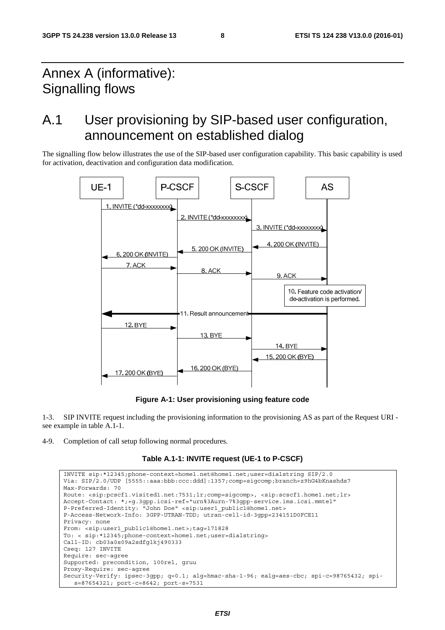# Annex A (informative): Signalling flows

# A.1 User provisioning by SIP-based user configuration, announcement on established dialog

The signalling flow below illustrates the use of the SIP-based user configuration capability. This basic capability is used for activation, deactivation and configuration data modification.



**Figure A-1: User provisioning using feature code** 

1-3. SIP INVITE request including the provisioning information to the provisioning AS as part of the Request URI see example in table A.1-1.

4-9. Completion of call setup following normal procedures.

#### **Table A.1-1: INVITE request (UE-1 to P-CSCF)**

```
INVITE sip:*12345;phone-context=home1.net@home1.net;user=dialstring SIP/2.0 
Via: SIP/2.0/UDP [5555::aaa:bbb:ccc:ddd]:1357;comp=sigcomp;branch=z9hG4bKnashds7 
Max-Forwards: 70 
Route: <sip:pcscf1.visited1.net:7531;lr;comp=sigcomp>, <sip:scscf1.home1.net;lr> 
Accept-Contact: *;+g.3gpp.icsi-ref="urn%3Aurn-7%3gpp-service.ims.icsi.mmtel" 
P-Preferred-Identity: "John Doe" <sip:user1_public1@home1.net> 
P-Access-Network-Info: 3GPP-UTRAN-TDD; utran-cell-id-3gpp=234151D0FCE11 
Privacy: none 
From: <sip:user1 public1@home1.net>;tag=171828
To: < sip:*12345;phone-context=home1.net;user=dialstring> 
Call-ID: cb03a0s09a2sdfglkj490333 
Cseq: 127 INVITE 
Require: sec-agree 
Supported: precondition, 100rel, gruu 
Proxy-Require: sec-agree 
Security-Verify: ipsec-3gpp; q=0.1; alg=hmac-sha-1-96; ealg=aes-cbc; spi-c=98765432; spi-
   s=87654321; port-c=8642; port-s=7531
```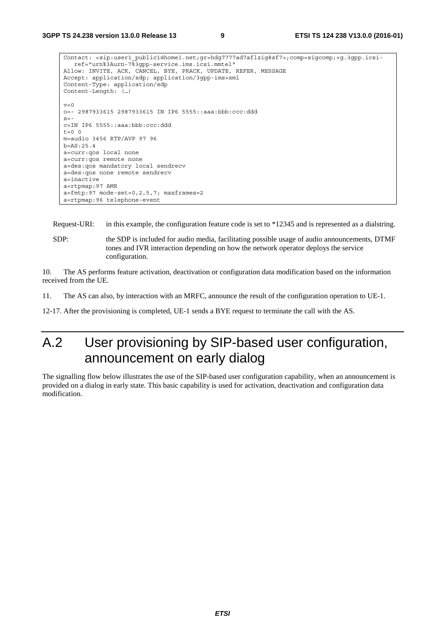```
Contact: <sip:user1_public1@home1.net;gr=hdg7777ad7aflzig8sf7>;comp=sigcomp;+g.3gpp.icsi-
   ref="urn%3Aurn-7%3gpp-service.ims.icsi.mmtel" 
Allow: INVITE, ACK, CANCEL, BYE, PRACK, UPDATE, REFER, MESSAGE 
Accept: application/sdp; application/3gpp-ims+xml 
Content-Type: application/sdp 
Content-Length: (…) 
v=0o=- 2987933615 2987933615 IN IP6 5555::aaa:bbb:ccc:ddd 
s=-c=IN IP6 5555::aaa:bbb:ccc:ddd 
t=0 0
m=audio 3456 RTP/AVP 97 96 
h = A.S.25.4a=curr:qos local none 
a=curr:qos remote none 
a=des:qos mandatory local sendrecv 
a=des:qos none remote sendrecv 
a=inactive 
a=rtpmap:97 AMR 
a = f m t p: 97 mode-set=0, 2, 5, 7; maxframes=2
a=rtpmap:96 telephone-event
```
Request-URI: in this example, the configuration feature code is set to \*12345 and is represented as a dialstring.

SDP: the SDP is included for audio media, facilitating possible usage of audio announcements, DTMF tones and IVR interaction depending on how the network operator deploys the service configuration.

10. The AS performs feature activation, deactivation or configuration data modification based on the information received from the UE.

11. The AS can also, by interaction with an MRFC, announce the result of the configuration operation to UE-1.

12-17. After the provisioning is completed, UE-1 sends a BYE request to terminate the call with the AS.

# A.2 User provisioning by SIP-based user configuration, announcement on early dialog

The signalling flow below illustrates the use of the SIP-based user configuration capability, when an announcement is provided on a dialog in early state. This basic capability is used for activation, deactivation and configuration data modification.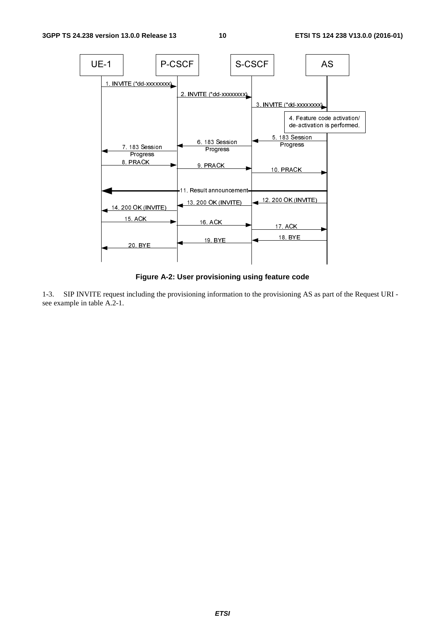

**Figure A-2: User provisioning using feature code** 

1-3. SIP INVITE request including the provisioning information to the provisioning AS as part of the Request URI see example in table A.2-1.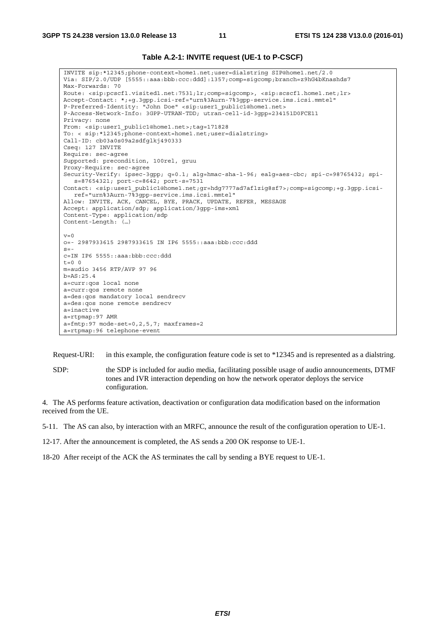#### **Table A.2-1: INVITE request (UE-1 to P-CSCF)**

INVITE sip:\*12345;phone-context=home1.net;user=dialstring SIP@home1.net/2.0 Via: SIP/2.0/UDP [5555::aaa:bbb:ccc:ddd]:1357;comp=sigcomp;branch=z9hG4bKnashds7 Max-Forwards: 70 Route: <sip:pcscf1.visited1.net:7531;lr;comp=sigcomp>, <sip:scscf1.home1.net;lr> Accept-Contact: \*;+g.3gpp.icsi-ref="urn%3Aurn-7%3gpp-service.ims.icsi.mmtel" P-Preferred-Identity: "John Doe" <sip:user1\_public1@home1.net> P-Access-Network-Info: 3GPP-UTRAN-TDD; utran-cell-id-3gpp=234151D0FCE11 Privacy: none From: <sip:user1\_public1@home1.net>;tag=171828 To: < sip:\*12345;phone-context=home1.net;user=dialstring> Call-ID: cb03a0s09a2sdfglkj490333 Cseq: 127 INVITE Require: sec-agree Supported: precondition, 100rel, gruu Proxy-Require: sec-agree Security-Verify: ipsec-3gpp; q=0.1; alg=hmac-sha-1-96; ealg=aes-cbc; spi-c=98765432; spis=87654321; port-c=8642; port-s=7531 Contact: <sip:user1\_public1@home1.net;gr=hdg7777ad7aflzig8sf7>;comp=sigcomp;+g.3gpp.icsiref="urn%3Aurn-7%3gpp-service.ims.icsi.mmtel" Allow: INVITE, ACK, CANCEL, BYE, PRACK, UPDATE, REFER, MESSAGE Accept: application/sdp; application/3gpp-ims+xml Content-Type: application/sdp Content-Length: (…)  $v=0$ o=- 2987933615 2987933615 IN IP6 5555::aaa:bbb:ccc:ddd  $s=$ c=IN IP6 5555::aaa:bbb:ccc:ddd  $t=0$  0 m=audio 3456 RTP/AVP 97 96 b=AS:25.4 a=curr:qos local none a=curr:qos remote none a=des:qos mandatory local sendrecv a=des:qos none remote sendrecv a=inactive a=rtpmap:97 AMR  $a=fmtp:97$  mode-set=0, 2, 5, 7; maxframes=2 a=rtpmap:96 telephone-event

Request-URI: in this example, the configuration feature code is set to \*12345 and is represented as a dialstring.

SDP: the SDP is included for audio media, facilitating possible usage of audio announcements, DTMF tones and IVR interaction depending on how the network operator deploys the service configuration.

4. The AS performs feature activation, deactivation or configuration data modification based on the information received from the UE.

5-11. The AS can also, by interaction with an MRFC, announce the result of the configuration operation to UE-1.

12-17. After the announcement is completed, the AS sends a 200 OK response to UE-1.

18-20 After receipt of the ACK the AS terminates the call by sending a BYE request to UE-1.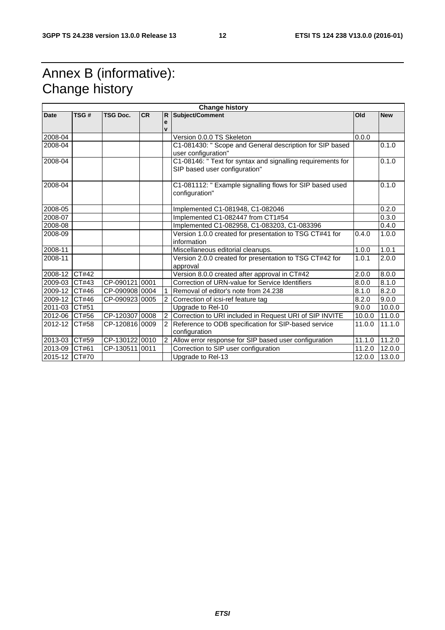# Annex B (informative): Change history

|               |       |                 |           |                   | <b>Change history</b>                                                                        |        |            |
|---------------|-------|-----------------|-----------|-------------------|----------------------------------------------------------------------------------------------|--------|------------|
| <b>Date</b>   | TSG#  | <b>TSG Doc.</b> | <b>CR</b> | IR.               | Subject/Comment                                                                              | Old    | <b>New</b> |
|               |       |                 |           | e<br>$\mathbf{v}$ |                                                                                              |        |            |
| 2008-04       |       |                 |           |                   | Version 0.0.0 TS Skeleton                                                                    | 0.0.0  |            |
| 2008-04       |       |                 |           |                   | C1-081430: " Scope and General description for SIP based                                     |        | 0.1.0      |
|               |       |                 |           |                   | user configuration"                                                                          |        |            |
| 2008-04       |       |                 |           |                   | C1-08146: " Text for syntax and signalling requirements for<br>SIP based user configuration" |        | 0.1.0      |
| 2008-04       |       |                 |           |                   | C1-081112: " Example signalling flows for SIP based used<br>configuration"                   |        | 0.1.0      |
| 2008-05       |       |                 |           |                   | Implemented C1-081948, C1-082046                                                             |        | 0.2.0      |
| 2008-07       |       |                 |           |                   | Implemented C1-082447 from CT1#54                                                            |        | 0.3.0      |
| 2008-08       |       |                 |           |                   | Implemented C1-082958, C1-083203, C1-083396                                                  |        | 0.4.0      |
| 2008-09       |       |                 |           |                   | Version 1.0.0 created for presentation to TSG CT#41 for<br>information                       | 0.4.0  | 1.0.0      |
| 2008-11       |       |                 |           |                   | Miscellaneous editorial cleanups.                                                            | 1.0.0  | 1.0.1      |
| 2008-11       |       |                 |           |                   | Version 2.0.0 created for presentation to TSG CT#42 for<br>approval                          | 1.0.1  | 2.0.0      |
| 2008-12 CT#42 |       |                 |           |                   | Version 8.0.0 created after approval in CT#42                                                | 2.0.0  | 8.0.0      |
| 2009-03       | CT#43 | CP-09012110001  |           |                   | Correction of URN-value for Service Identifiers                                              | 8.0.0  | 8.1.0      |
| 2009-12       | CT#46 | CP-090908 0004  |           |                   | Removal of editor's note from 24.238                                                         | 8.1.0  | 8.2.0      |
| 2009-12 CT#46 |       | CP-090923 0005  |           | $\mathfrak{p}$    | Correction of icsi-ref feature tag                                                           | 8.2.0  | 9.0.0      |
| 2011-03       | CT#51 |                 |           |                   | Upgrade to Rel-10                                                                            | 9.0.0  | 10.0.0     |
| 2012-06 CT#56 |       | CP-120307 0008  |           |                   | Correction to URI included in Request URI of SIP INVITE                                      | 10.0.0 | 11.0.0     |
| 2012-12       | CT#58 | CP-12081610009  |           |                   | Reference to ODB specification for SIP-based service<br>configuration                        | 11.0.0 | 11.1.0     |
| 2013-03 CT#59 |       | CP-130122 0010  |           | $\overline{2}$    | Allow error response for SIP based user configuration                                        | 11.1.0 | 11.2.0     |
| 2013-09 CT#61 |       | CP-130511 0011  |           |                   | Correction to SIP user configuration                                                         | 11.2.0 | 12.0.0     |
| 2015-12 CT#70 |       |                 |           |                   | Upgrade to Rel-13                                                                            | 12.0.0 | 13.0.0     |